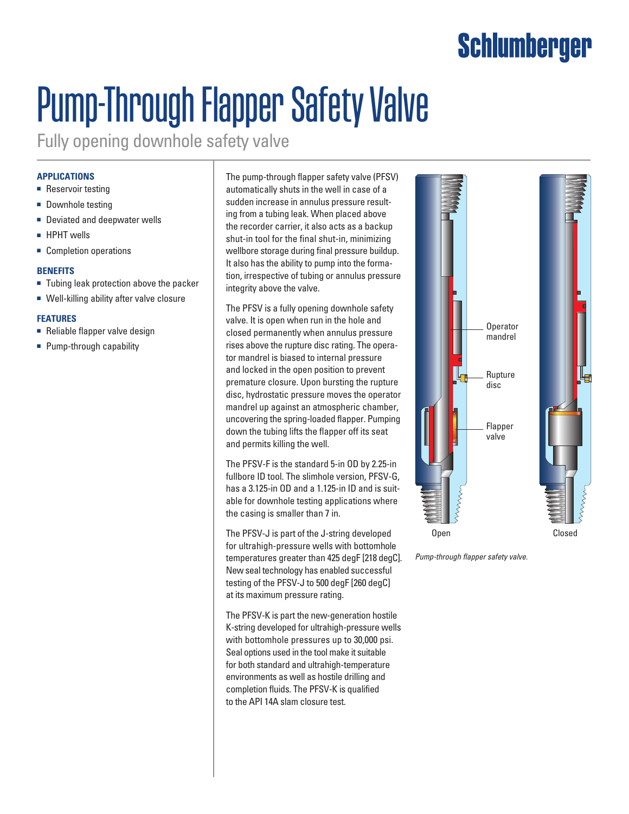# Schlumberger

# Pump-Through Flapper Safety Valve

Fully opening downhole safety valve

## **Applications**

- Reservoir testing
- Downhole testing
- Deviated and deepwater wells
- HPHT wells
- Completion operations

#### **Benefits**

- Tubing leak protection above the packer
- Well-killing ability after valve closure

### **Features**

- Reliable flapper valve design
- Pump-through capability

The pump-through flapper safety valve (PFSV) automatically shuts in the well in case of a sudden increase in annulus pressure resulting from a tubing leak. When placed above the recorder carrier, it also acts as a backup shut-in tool for the final shut-in, minimizing wellbore storage during final pressure buildup. It also has the ability to pump into the formation, irrespective of tubing or annulus pressure integrity above the valve.

The PFSV is a fully opening downhole safety valve. It is open when run in the hole and closed permanently when annulus pressure rises above the rupture disc rating. The operator mandrel is biased to internal pressure and locked in the open position to prevent premature closure. Upon bursting the rupture disc, hydrostatic pressure moves the operator mandrel up against an atmospheric chamber, uncovering the spring-loaded flapper. Pumping down the tubing lifts the flapper off its seat and permits killing the well.

The PFSV-F is the standard 5-in OD by 2.25-in fullbore ID tool. The slimhole version, PFSV-G, has a 3.125-in OD and a 1.125-in ID and is suitable for downhole testing applications where the casing is smaller than 7 in.

The PFSV-J is part of the J-string developed for ultrahigh-pressure wells with bottomhole temperatures greater than 425 degF [218 degC]. New seal technology has enabled successful testing of the PFSV-J to 500 degF [260 degC] at its maximum pressure rating.

The PFSV-K is part the new-generation hostile K-string developed for ultrahigh-pressure wells with bottomhole pressures up to 30,000 psi. Seal options used in the tool make it suitable for both standard and ultrahigh-temperature environments as well as hostile drilling and completion fluids. The PFSV-K is qualified to the API 14A slam closure test.



*Pump-through flapper safety valve.*